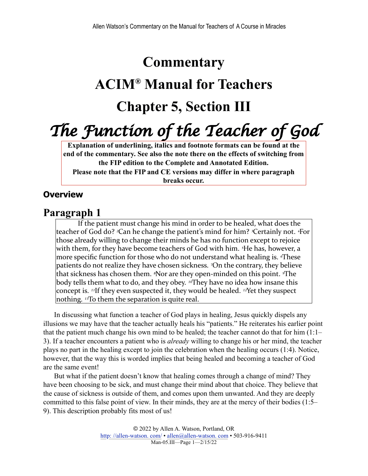### **Commentary**

# **ACIM® Manual for Teachers**

## **Chapter 5, Section III**

*The Function of the Teacher of God*

**Explanation of underlining, italics and footnote formats can be found at the end of the commentary. See also the note there on the effects of switching from the FIP edition to the Complete and Annotated Edition. Please note that the FIP and CE versions may differ in where paragraph breaks occur.**

#### **Overview**

#### **Paragraph 1**

If the patient must change his mind in order to be healed, what does the teacher of God do? <sup>2</sup>Can he change the patient's mind for him? <sup>3</sup>Certainly not. <sup>4</sup>For those already willing to change their minds he has no function except to rejoice with them, for they have become teachers of God with him. *<sup>5</sup>He* has, however, a more specific function for those who do not understand what healing is. *These* patients do not realize they have chosen sickness. <sup>7</sup>On the contrary, they believe that sickness has chosen them. <sup>*§*Nor are they open-minded on this point. *<sup>9</sup>*The</sup> body tells them what to do, and they obey. <sup>10</sup>They have no idea how insane this concept is. <sup>11</sup>If they even suspected it, they would be healed. <sup>12</sup>Yet they suspect nothing. <sup>13</sup>To them the separation is quite real.

In discussing what function a teacher of God plays in healing, Jesus quickly dispels any illusions we may have that the teacher actually heals his "patients." He reiterates his earlier point that the patient much change his own mind to be healed; the teacher cannot do that for him (1:1– 3). If a teacher encounters a patient who is *already* willing to change his or her mind, the teacher plays no part in the healing except to join the celebration when the healing occurs (1:4). Notice, however, that the way this is worded implies that being healed and becoming a teacher of God are the same event!

But what if the patient doesn't know that healing comes through a change of mind? They have been choosing to be sick, and must change their mind about that choice. They believe that the cause of sickness is outside of them, and comes upon them unwanted. And they are deeply committed to this false point of view. In their minds, they are at the mercy of their bodies (1:5– 9). This description probably fits most of us!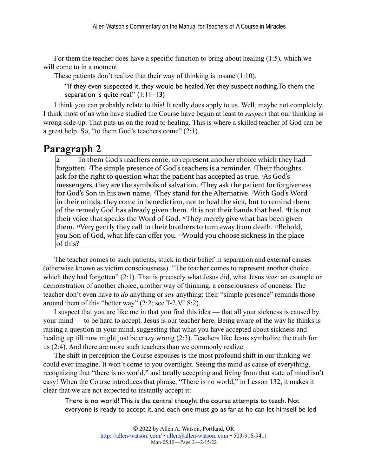For them the teacher does have a specific function to bring about healing (1:5), which we will come to in a moment.

These patients don't realize that their way of thinking is insane (1:10).

"If they even suspected it, they would be healed. Yet they suspect nothing. To them the separation is quite real."  $(1:11-13)$ 

I think you can probably relate to this! It really does apply to us. Well, maybe not completely. I think most of us who have studied the Course have begun at least to *suspect* that our thinking is wrong-side-up. That puts us on the road to healing. This is where a skilled teacher of God can be a great help. So, "to them God's teachers come" (2:1).

#### **Paragraph 2**

To them God's teachers come, to represent another choice which they had forgotten. <sup>*z*The simple presence of God's teachers is a reminder. *<sup>3</sup>Their* thoughts</sup> ask for the right to question what the patient has accepted as true. <sup>4</sup>As God's messengers, they are the symbols of salvation. <sup>*They* ask the patient for forgiveness</sub></sup> for God's Son in his own name. *«*They stand for the Alternative. *<sup>7</sup>*With God's Word in their minds, they come in benediction, not to heal the sick, but to remind them of the remedy God has already given them. <sup>*s*</sup>It is not their hands that heal. <sup>*It*</sup> is not their voice that speaks the Word of God. <sup>10</sup>They merely give what has been given them. <sup>11</sup>Very gently they call to their brothers to turn away from death. <sup>12</sup>Behold, you Son of God, what life can offer you. <sup>13</sup>Would you choose sickness in the place  $|$ of this?

The teacher comes to such patients, stuck in their belief in separation and external causes (otherwise known as victim consciousness). "The teacher comes to represent another choice which they had forgotten" (2:1). That is precisely what Jesus did, what Jesus *was*: an example or demonstration of another choice, another way of thinking, a consciousness of oneness. The teacher don't even have to *do* anything or *say* anything: their "simple presence" reminds those around them of this "better way" (2:2; see T-2.VI.8:2).

I suspect that you are like me in that you find this idea — that all your sickness is caused by your mind — to be hard to accept. Jesus is our teacher here. Being aware of the way he thinks is raising a question in your mind, suggesting that what you have accepted about sickness and healing up till now might just be crazy wrong (2:3). Teachers like Jesus symbolize the truth for us (2:4). And there are more such teachers than we commonly realize.

The shift in perception the Course espouses is the most profound shift in our thinking we could ever imagine. It won't come to you overnight. Seeing the mind as cause of everything, recognizing that "there is no world," and totally accepting and living from that state of mind isn't easy! When the Course introduces that phrase, "There is no world," in Lesson 132, it makes it clear that we are not expected to instantly accept it:

There is no world! This is the central thought the course attempts to teach. Not everyone is ready to accept it, and each one must go as far as he can let himself be led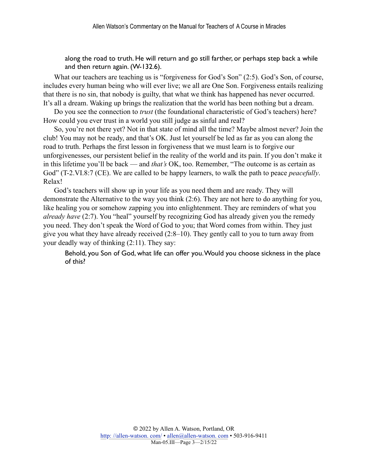along the road to truth. He will return and go still farther, or perhaps step back a while and then return again. (W-132.6).

What our teachers are teaching us is "forgiveness for God's Son" (2:5). God's Son, of course, includes every human being who will ever live; we all are One Son. Forgiveness entails realizing that there is no sin, that nobody is guilty, that what we think has happened has never occurred. It's all a dream. Waking up brings the realization that the world has been nothing but a dream.

Do you see the connection to *trust* (the foundational characteristic of God's teachers) here? How could you ever trust in a world you still judge as sinful and real?

So, you're not there yet? Not in that state of mind all the time? Maybe almost never? Join the club! You may not be ready, and that's OK. Just let yourself be led as far as you can along the road to truth. Perhaps the first lesson in forgiveness that we must learn is to forgive our unforgivenesses, our persistent belief in the reality of the world and its pain. If you don't make it in this lifetime you'll be back — and *that's* OK, too. Remember, "The outcome is as certain as God" (T-2.VI.8:7 (CE). We are called to be happy learners, to walk the path to peace *peacefully*. Relax!

God's teachers will show up in your life as you need them and are ready. They will demonstrate the Alternative to the way you think (2:6). They are not here to do anything for you, like healing you or somehow zapping you into enlightenment. They are reminders of what you *already have* (2:7). You "heal" yourself by recognizing God has already given you the remedy you need. They don't speak the Word of God to you; that Word comes from within. They just give you what they have already received (2:8–10). They gently call to you to turn away from your deadly way of thinking (2:11). They say:

Behold, you Son of God, what life can offer you. Would you choose sickness in the place of this?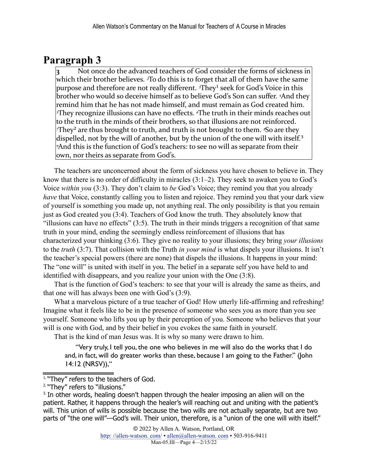### **Paragraph 3**

<span id="page-3-3"></span>Not once do the advanced teachers of God consider the forms of sickness in which their brother believes. <sup>2</sup>To do this is to forget that all of them have the same purpose and therefore are not really different. <sup>3</sup>They<sup>1</sup> seek for God's Voice in this brother who would so deceive himself as to believe God's Son can suffer. <sup>4</sup>And they remind him that he has not made himself, and must remain as God created him. **<sup>***s***They recognize illusions can have no effects.** *«***The truth in their minds reaches out**</sup> to the truth in the minds of their brothers, so that illusions are not reinforced. *<sup>†</sup>They<sup>2</sup>* are thus brought to truth, and truth is not brought to them. *<sup>8</sup>So* are they dispelled, not by the will of another, but by the union of the one will with itself.<sup>3</sup> <sup>9</sup>And this is the function of God's teachers: to see no will as separate from their lown, nor theirs as separate from God's.

<span id="page-3-5"></span><span id="page-3-4"></span>The teachers are unconcerned about the form of sickness you have chosen to believe in. They know that there is no order of difficulty in miracles (3:1–2). They seek to awaken you to God's Voice *within you* (3:3). They don't claim to *be* God's Voice; they remind you that you already *have* that Voice, constantly calling you to listen and rejoice. They remind you that your dark view of yourself is something you made up, not anything real. The only possibility is that you remain just as God created you (3:4). Teachers of God know the truth. They absolutely know that "illusions can have no effects" (3:5). The truth in their minds triggers a recognition of that same truth in your mind, ending the seemingly endless reinforcement of illusions that has characterized your thinking (3:6). They give no reality to your illusions; they bring *your illusions* to the *truth* (3:7). That collision with the Truth *in your mind* is what dispels your illusions. It isn't the teacher's special powers (there are none) that dispels the illusions. It happens in your mind: The "one will" is united with itself in you. The belief in a separate self you have held to and identified with disappears, and you realize your union with the One (3:8).

That is the function of God's teachers: to see that your will is already the same as theirs, and that one will has always been one with God's (3:9).

What a marvelous picture of a true teacher of God! How utterly life-affirming and refreshing! Imagine what it feels like to be in the presence of someone who sees you as more than you see yourself. Someone who lifts you up by their perception of you. Someone who believes that your will is one with God, and by their belief in you evokes the same faith in yourself.

That is the kind of man Jesus was. It is why so many were drawn to him.

"Very truly, I tell you, the one who believes in me will also do the works that I do and, in fact, will do greater works than these, because I am going to the Father." (John 14:12 (NRSV)),"

<span id="page-3-0"></span><sup>&</sup>lt;sup>[1.](#page-3-3)</sup> "They" refers to the teachers of God.

<span id="page-3-1"></span><sup>&</sup>lt;sup>[2.](#page-3-4)</sup> "They" refers to "illusions."

<span id="page-3-2"></span>[<sup>3.</sup>I](#page-3-5)n other words, healing doesn't happen through the healer imposing an alien will on the patient. Rather, it happens through the healer's will reaching out and uniting with the patient's will. This union of wills is possible because the two wills are not actually separate, but are two parts of "the one will"—God's will. Their union, therefore, is a "union of the one will with itself."